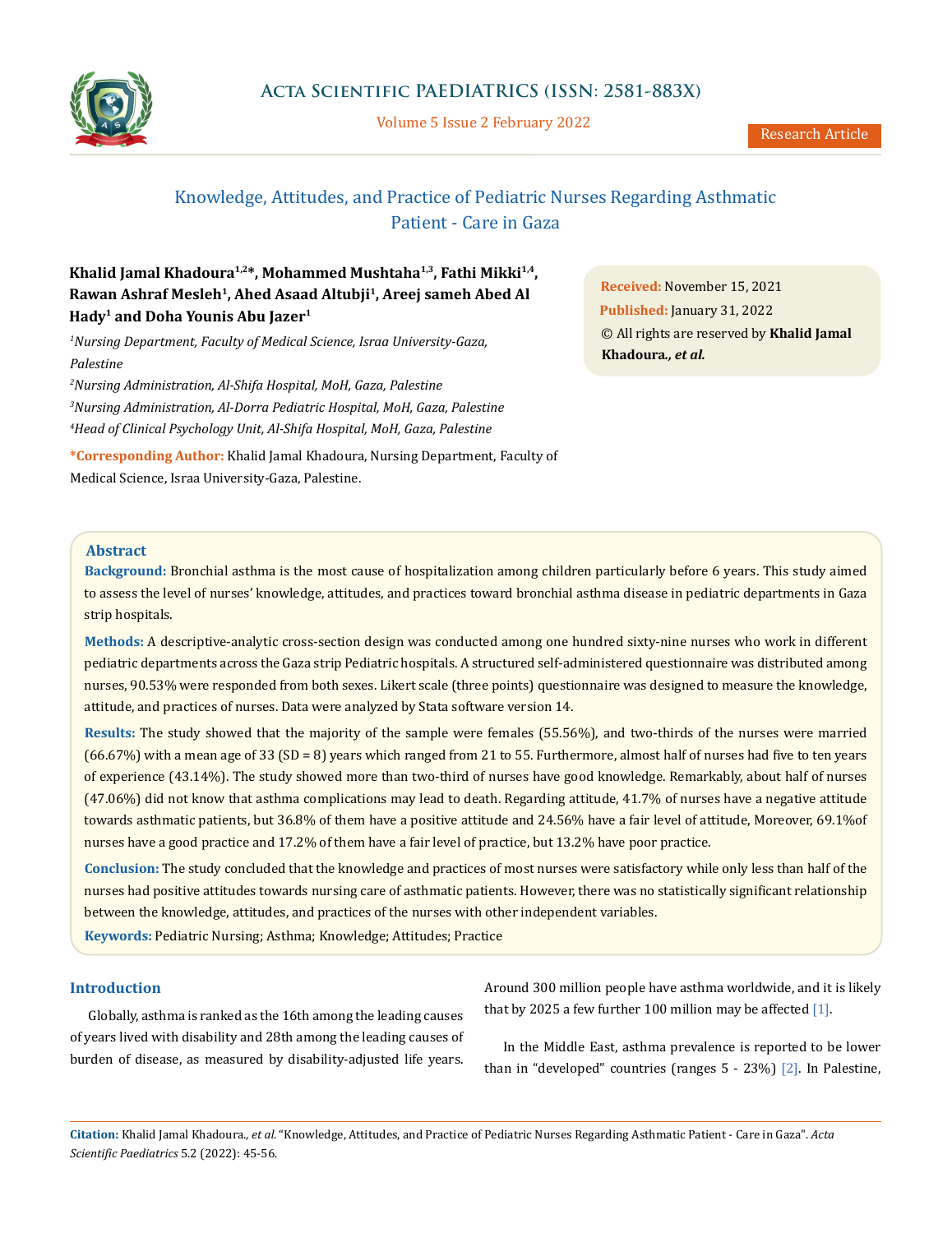

Volume 5 Issue 2 February 2022

# Knowledge, Attitudes, and Practice of Pediatric Nurses Regarding Asthmatic Patient - Care in Gaza

## Khalid Jamal Khadoura<sup>1,2\*</sup>, Mohammed Mushtaha<sup>1,3</sup>, Fathi Mikki<sup>1,4</sup>, **Rawan Ashraf Mesleh1, Ahed Asaad Altubji1, Areej sameh Abed Al Hady1 and Doha Younis Abu Jazer1**

*1 Nursing Department, Faculty of Medical Science, Israa University-Gaza, Palestine*

*2 Nursing Administration, Al-Shifa Hospital, MoH, Gaza, Palestine 3 Nursing Administration, Al-Dorra Pediatric Hospital, MoH, Gaza, Palestine 4 Head of Clinical Psychology Unit, Al-Shifa Hospital, MoH, Gaza, Palestine*

**\*Corresponding Author:** Khalid Jamal Khadoura, Nursing Department, Faculty of Medical Science, Israa University-Gaza, Palestine.

**Received:** November 15, 2021 **Published:** January 31, 2022 © All rights are reserved by **Khalid Jamal Khadoura***., et al.*

### **Abstract**

**Background:** Bronchial asthma is the most cause of hospitalization among children particularly before 6 years. This study aimed to assess the level of nurses' knowledge, attitudes, and practices toward bronchial asthma disease in pediatric departments in Gaza strip hospitals.

**Methods:** A descriptive-analytic cross-section design was conducted among one hundred sixty-nine nurses who work in different pediatric departments across the Gaza strip Pediatric hospitals. A structured self-administered questionnaire was distributed among nurses, 90.53% were responded from both sexes. Likert scale (three points) questionnaire was designed to measure the knowledge, attitude, and practices of nurses. Data were analyzed by Stata software version 14.

**Results:** The study showed that the majority of the sample were females (55.56%), and two-thirds of the nurses were married (66.67%) with a mean age of 33 (SD = 8) years which ranged from 21 to 55. Furthermore, almost half of nurses had five to ten years of experience (43.14%). The study showed more than two-third of nurses have good knowledge. Remarkably, about half of nurses (47.06%) did not know that asthma complications may lead to death. Regarding attitude, 41.7% of nurses have a negative attitude towards asthmatic patients, but 36.8% of them have a positive attitude and 24.56% have a fair level of attitude, Moreover, 69.1%of nurses have a good practice and 17.2% of them have a fair level of practice, but 13.2% have poor practice.

**Conclusion:** The study concluded that the knowledge and practices of most nurses were satisfactory while only less than half of the nurses had positive attitudes towards nursing care of asthmatic patients. However, there was no statistically significant relationship between the knowledge, attitudes, and practices of the nurses with other independent variables.

**Keywords:** Pediatric Nursing; Asthma; Knowledge; Attitudes; Practice

### **Introduction**

Globally, asthma is ranked as the 16th among the leading causes of years lived with disability and 28th among the leading causes of burden of disease, as measured by disability-adjusted life years. Around 300 million people have asthma worldwide, and it is likely that by 2025 a few further 100 million may be affected  $[1]$ .

In the Middle East, asthma prevalence is reported to be lower than in "developed" countries (ranges 5 - 23%) [2]. In Palestine,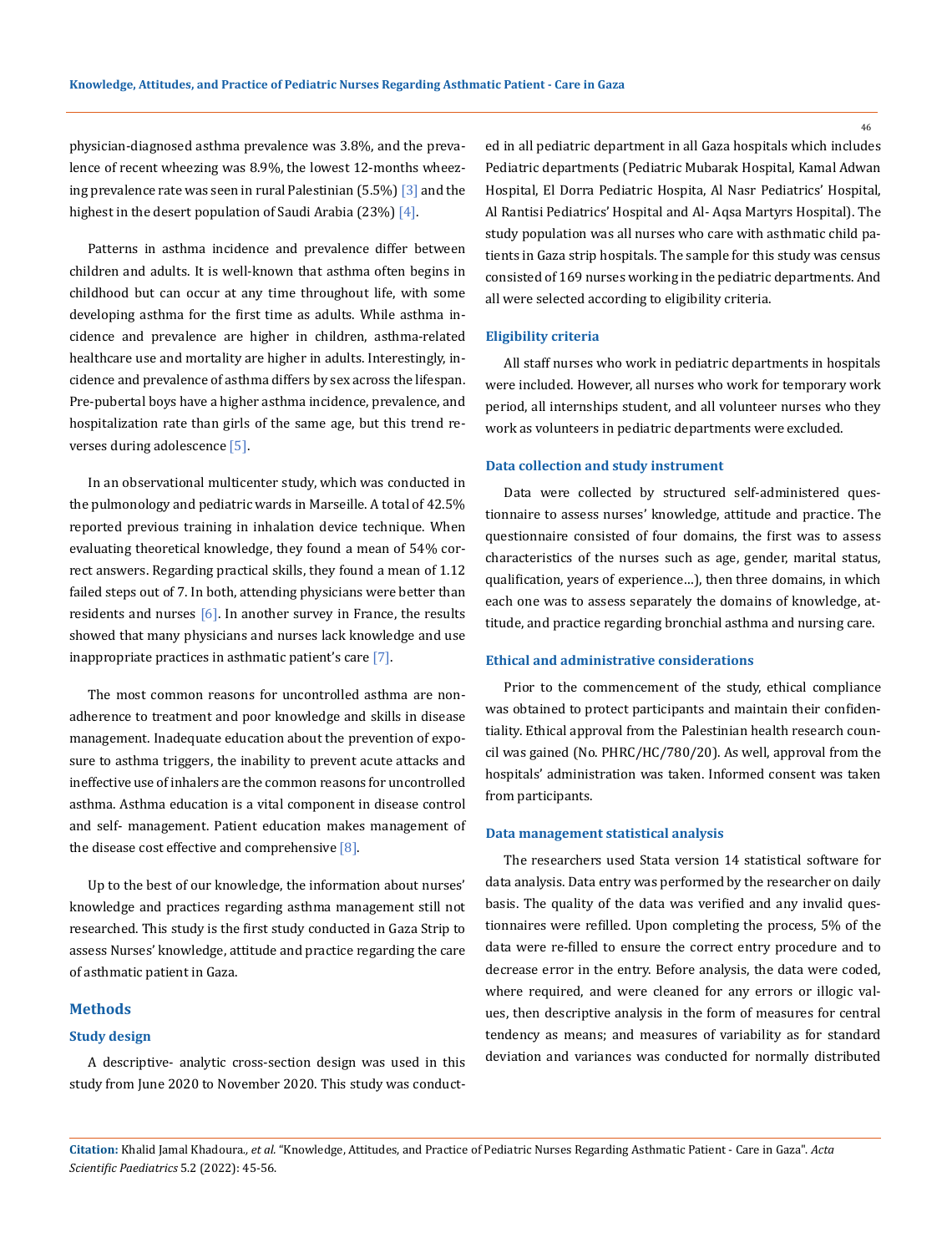physician-diagnosed asthma prevalence was 3.8%, and the prevalence of recent wheezing was 8.9%, the lowest 12-months wheezing prevalence rate was seen in rural Palestinian  $(5.5%)$   $[3]$  and the highest in the desert population of Saudi Arabia (23%)  $[4]$ .

Patterns in asthma incidence and prevalence differ between children and adults. It is well-known that asthma often begins in childhood but can occur at any time throughout life, with some developing asthma for the first time as adults. While asthma incidence and prevalence are higher in children, asthma-related healthcare use and mortality are higher in adults. Interestingly, incidence and prevalence of asthma differs by sex across the lifespan. Pre-pubertal boys have a higher asthma incidence, prevalence, and hospitalization rate than girls of the same age, but this trend reverses during adolescence [5].

In an observational multicenter study, which was conducted in the pulmonology and pediatric wards in Marseille. A total of 42.5% reported previous training in inhalation device technique. When evaluating theoretical knowledge, they found a mean of 54% correct answers. Regarding practical skills, they found a mean of 1.12 failed steps out of 7. In both, attending physicians were better than residents and nurses  $[6]$ . In another survey in France, the results showed that many physicians and nurses lack knowledge and use inappropriate practices in asthmatic patient's care [7].

The most common reasons for uncontrolled asthma are nonadherence to treatment and poor knowledge and skills in disease management. Inadequate education about the prevention of exposure to asthma triggers, the inability to prevent acute attacks and ineffective use of inhalers are the common reasons for uncontrolled asthma. Asthma education is a vital component in disease control and self- management. Patient education makes management of the disease cost effective and comprehensive  $[8]$ .

Up to the best of our knowledge, the information about nurses' knowledge and practices regarding asthma management still not researched. This study is the first study conducted in Gaza Strip to assess Nurses' knowledge, attitude and practice regarding the care of asthmatic patient in Gaza.

### **Methods**

### **Study design**

A descriptive- analytic cross-section design was used in this study from June 2020 to November 2020. This study was conducted in all pediatric department in all Gaza hospitals which includes Pediatric departments (Pediatric Mubarak Hospital, Kamal Adwan Hospital, El Dorra Pediatric Hospita, Al Nasr Pediatrics' Hospital, Al Rantisi Pediatrics' Hospital and Al- Aqsa Martyrs Hospital). The study population was all nurses who care with asthmatic child patients in Gaza strip hospitals. The sample for this study was census consisted of 169 nurses working in the pediatric departments. And all were selected according to eligibility criteria.

#### **Eligibility criteria**

All staff nurses who work in pediatric departments in hospitals were included. However, all nurses who work for temporary work period, all internships student, and all volunteer nurses who they work as volunteers in pediatric departments were excluded.

### **Data collection and study instrument**

Data were collected by structured self-administered questionnaire to assess nurses' knowledge, attitude and practice. The questionnaire consisted of four domains, the first was to assess characteristics of the nurses such as age, gender, marital status, qualification, years of experience…), then three domains, in which each one was to assess separately the domains of knowledge, attitude, and practice regarding bronchial asthma and nursing care.

### **Ethical and administrative considerations**

Prior to the commencement of the study, ethical compliance was obtained to protect participants and maintain their confidentiality. Ethical approval from the Palestinian health research council was gained (No. PHRC/HC/780/20). As well, approval from the hospitals' administration was taken. Informed consent was taken from participants.

#### **Data management statistical analysis**

The researchers used Stata version 14 statistical software for data analysis. Data entry was performed by the researcher on daily basis. The quality of the data was verified and any invalid questionnaires were refilled. Upon completing the process, 5% of the data were re-filled to ensure the correct entry procedure and to decrease error in the entry. Before analysis, the data were coded, where required, and were cleaned for any errors or illogic values, then descriptive analysis in the form of measures for central tendency as means; and measures of variability as for standard deviation and variances was conducted for normally distributed

**Citation:** Khalid Jamal Khadoura*., et al.* "Knowledge, Attitudes, and Practice of Pediatric Nurses Regarding Asthmatic Patient - Care in Gaza". *Acta Scientific Paediatrics* 5.2 (2022): 45-56.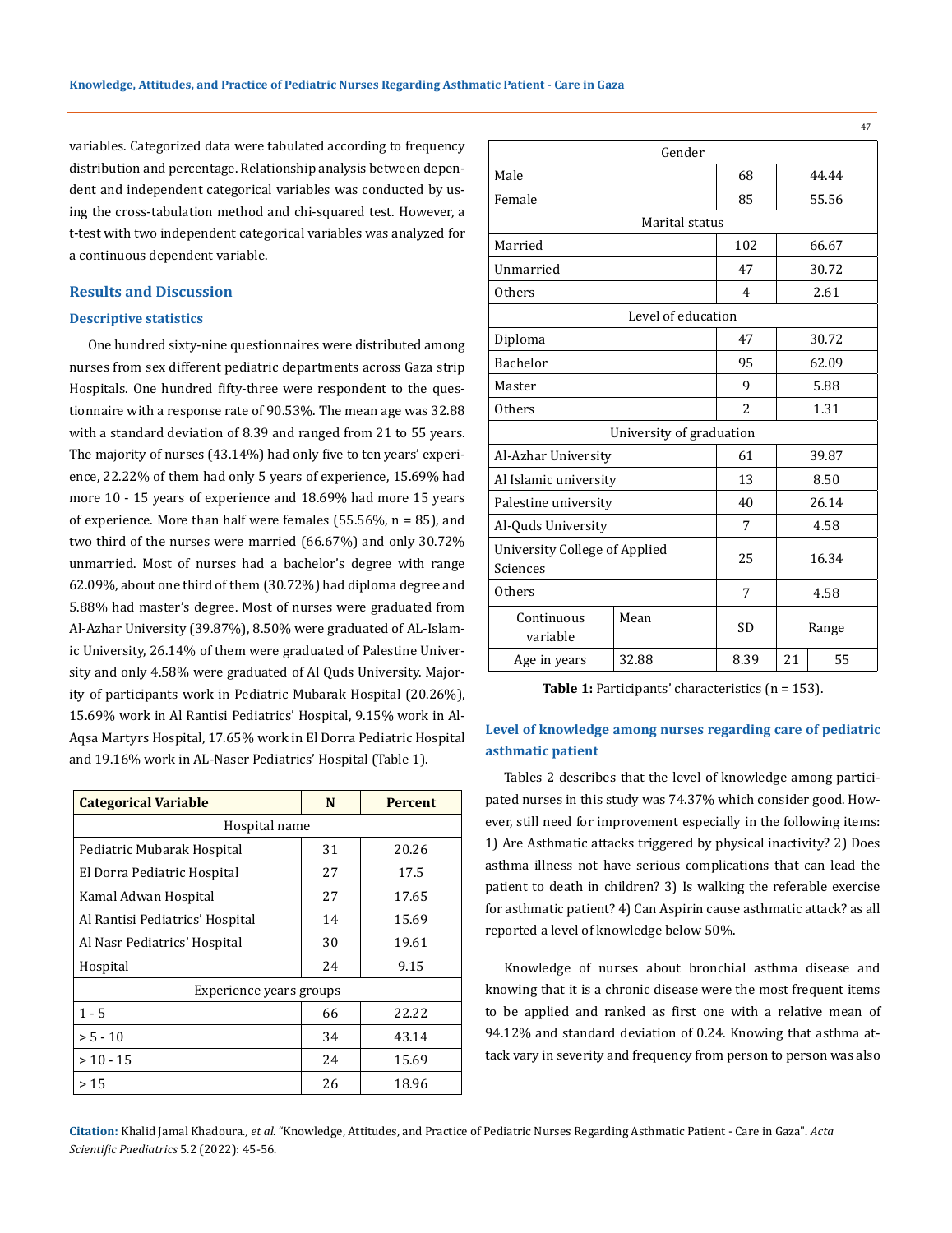variables. Categorized data were tabulated according to frequency distribution and percentage. Relationship analysis between dependent and independent categorical variables was conducted by using the cross-tabulation method and chi-squared test. However, a t-test with two independent categorical variables was analyzed for a continuous dependent variable.

### **Results and Discussion**

#### **Descriptive statistics**

One hundred sixty-nine questionnaires were distributed among nurses from sex different pediatric departments across Gaza strip Hospitals. One hundred fifty-three were respondent to the questionnaire with a response rate of 90.53%. The mean age was 32.88 with a standard deviation of 8.39 and ranged from 21 to 55 years. The majority of nurses (43.14%) had only five to ten years' experience, 22.22% of them had only 5 years of experience, 15.69% had more 10 - 15 years of experience and 18.69% had more 15 years of experience. More than half were females (55.56%, n = 85), and two third of the nurses were married (66.67%) and only 30.72% unmarried. Most of nurses had a bachelor's degree with range 62.09%, about one third of them (30.72%) had diploma degree and 5.88% had master's degree. Most of nurses were graduated from Al-Azhar University (39.87%), 8.50% were graduated of AL-Islamic University, 26.14% of them were graduated of Palestine University and only 4.58% were graduated of Al Quds University. Majority of participants work in Pediatric Mubarak Hospital (20.26%), 15.69% work in Al Rantisi Pediatrics' Hospital, 9.15% work in Al-Aqsa Martyrs Hospital, 17.65% work in El Dorra Pediatric Hospital and 19.16% work in AL-Naser Pediatrics' Hospital (Table 1).

| <b>Categorical Variable</b>     | N  | <b>Percent</b> |
|---------------------------------|----|----------------|
| Hospital name                   |    |                |
| Pediatric Mubarak Hospital      | 31 | 20.26          |
| El Dorra Pediatric Hospital     | 27 | 17.5           |
| Kamal Adwan Hospital            | 27 | 17.65          |
| Al Rantisi Pediatrics' Hospital | 14 | 15.69          |
| Al Nasr Pediatrics' Hospital    | 30 | 19.61          |
| Hospital                        | 24 | 9.15           |
| Experience years groups         |    |                |
| $1 - 5$                         | 66 | 22.22          |
| $> 5 - 10$                      | 34 | 43.14          |
| $>10 - 15$                      | 24 | 15.69          |
| >15                             | 26 | 18.96          |

| Male                                      | 68                       |                | 44.44 |       |  |
|-------------------------------------------|--------------------------|----------------|-------|-------|--|
| Female                                    |                          | 85             |       | 55.56 |  |
|                                           | Marital status           |                |       |       |  |
| Married                                   |                          | 102            |       | 66.67 |  |
| Unmarried                                 |                          | 47             |       | 30.72 |  |
| <b>Others</b>                             |                          | $\overline{4}$ |       | 2.61  |  |
|                                           | Level of education       |                |       |       |  |
| Diploma                                   |                          | 47             |       | 30.72 |  |
| <b>Bachelor</b>                           |                          | 95             | 62.09 |       |  |
| Master                                    | 9                        | 5.88           |       |       |  |
| <b>Others</b>                             | $\overline{2}$           |                | 1.31  |       |  |
|                                           | University of graduation |                |       |       |  |
| Al-Azhar University                       |                          | 61             | 39.87 |       |  |
| Al Islamic university                     |                          | 13             | 8.50  |       |  |
| Palestine university                      |                          | 40             |       | 26.14 |  |
| Al-Quds University                        |                          | 7              | 4.58  |       |  |
| University College of Applied<br>Sciences | 25                       | 16.34          |       |       |  |
| <b>Others</b>                             |                          | 7              |       | 4.58  |  |
| Continuous<br>variable                    | Mean                     | <b>SD</b>      |       | Range |  |
| Age in years                              | 32.88                    | 8.39           | 21    | 55    |  |

**Table 1:** Participants' characteristics (n = 153).

## **Level of knowledge among nurses regarding care of pediatric asthmatic patient**

Tables 2 describes that the level of knowledge among participated nurses in this study was 74.37% which consider good. However, still need for improvement especially in the following items: 1) Are Asthmatic attacks triggered by physical inactivity? 2) Does asthma illness not have serious complications that can lead the patient to death in children? 3) Is walking the referable exercise for asthmatic patient? 4) Can Aspirin cause asthmatic attack? as all reported a level of knowledge below 50%.

Knowledge of nurses about bronchial asthma disease and knowing that it is a chronic disease were the most frequent items to be applied and ranked as first one with a relative mean of 94.12% and standard deviation of 0.24. Knowing that asthma attack vary in severity and frequency from person to person was also

**Citation:** Khalid Jamal Khadoura*., et al.* "Knowledge, Attitudes, and Practice of Pediatric Nurses Regarding Asthmatic Patient - Care in Gaza". *Acta Scientific Paediatrics* 5.2 (2022): 45-56.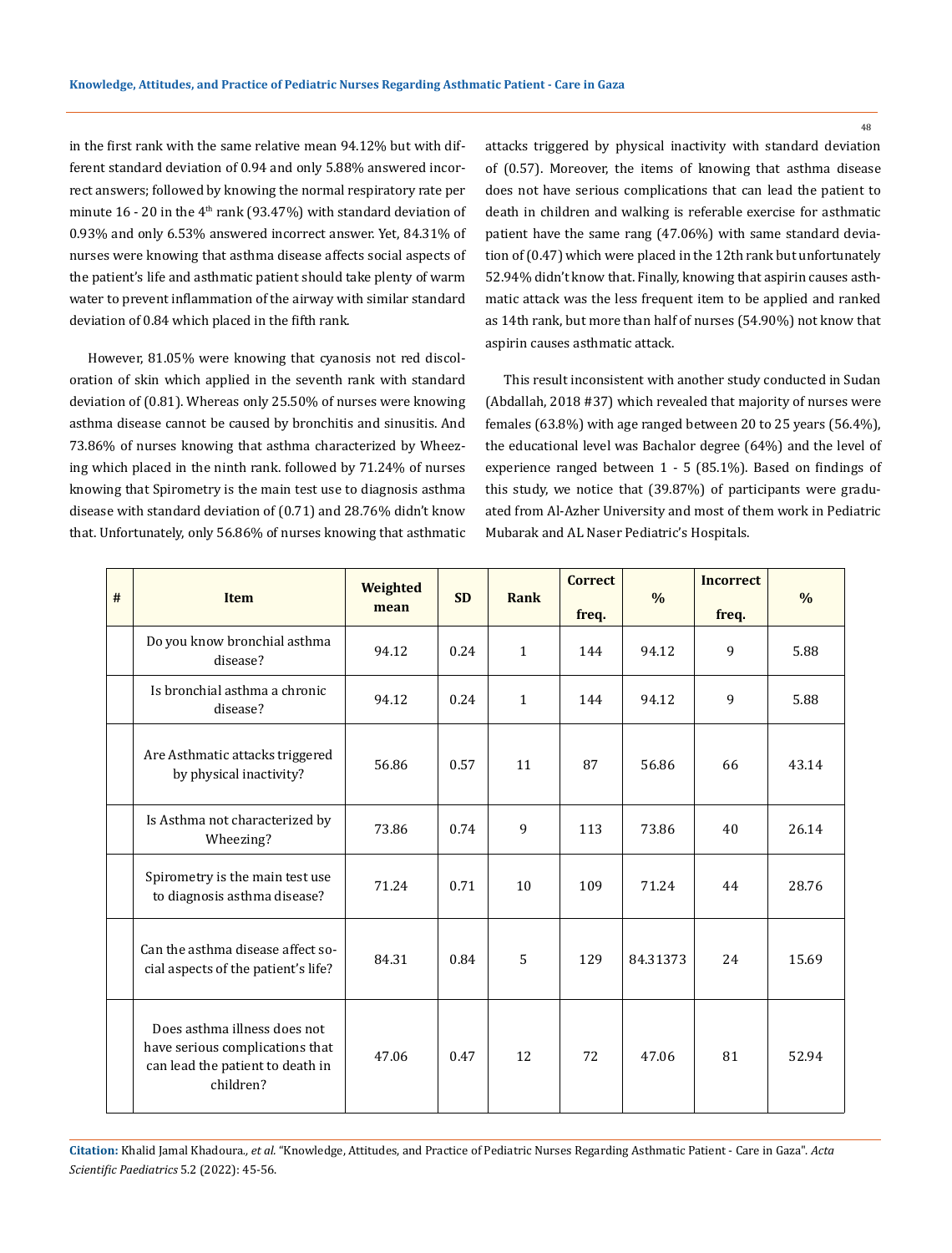in the first rank with the same relative mean 94.12% but with different standard deviation of 0.94 and only 5.88% answered incorrect answers; followed by knowing the normal respiratory rate per minute  $16$  - 20 in the  $4<sup>th</sup>$  rank (93.47%) with standard deviation of 0.93% and only 6.53% answered incorrect answer. Yet, 84.31% of nurses were knowing that asthma disease affects social aspects of the patient's life and asthmatic patient should take plenty of warm water to prevent inflammation of the airway with similar standard deviation of 0.84 which placed in the fifth rank.

However, 81.05% were knowing that cyanosis not red discoloration of skin which applied in the seventh rank with standard deviation of (0.81). Whereas only 25.50% of nurses were knowing asthma disease cannot be caused by bronchitis and sinusitis. And 73.86% of nurses knowing that asthma characterized by Wheezing which placed in the ninth rank. followed by 71.24% of nurses knowing that Spirometry is the main test use to diagnosis asthma disease with standard deviation of (0.71) and 28.76% didn't know that. Unfortunately, only 56.86% of nurses knowing that asthmatic attacks triggered by physical inactivity with standard deviation of (0.57). Moreover, the items of knowing that asthma disease does not have serious complications that can lead the patient to death in children and walking is referable exercise for asthmatic patient have the same rang (47.06%) with same standard deviation of (0.47) which were placed in the 12th rank but unfortunately 52.94% didn't know that. Finally, knowing that aspirin causes asthmatic attack was the less frequent item to be applied and ranked as 14th rank, but more than half of nurses (54.90%) not know that aspirin causes asthmatic attack.

This result inconsistent with another study conducted in Sudan (Abdallah, 2018 #37) which revealed that majority of nurses were females (63.8%) with age ranged between 20 to 25 years (56.4%), the educational level was Bachalor degree (64%) and the level of experience ranged between 1 - 5 (85.1%). Based on findings of this study, we notice that (39.87%) of participants were graduated from Al-Azher University and most of them work in Pediatric Mubarak and AL Naser Pediatric's Hospitals.

| $\#$ | <b>Item</b>                                                                                                      | Weighted<br>mean | <b>SD</b> | Rank         | <b>Correct</b> | $\%$     | <b>Incorrect</b> | $\frac{0}{0}$ |
|------|------------------------------------------------------------------------------------------------------------------|------------------|-----------|--------------|----------------|----------|------------------|---------------|
|      | Do you know bronchial asthma<br>disease?                                                                         | 94.12            | 0.24      | $\mathbf{1}$ | freq.<br>144   | 94.12    | freq.<br>9       | 5.88          |
|      | Is bronchial asthma a chronic<br>disease?                                                                        | 94.12            | 0.24      | $\mathbf{1}$ | 144            | 94.12    | 9                | 5.88          |
|      | Are Asthmatic attacks triggered<br>by physical inactivity?                                                       | 56.86            | 0.57      | 11           | 87             | 56.86    | 66               | 43.14         |
|      | Is Asthma not characterized by<br>Wheezing?                                                                      | 73.86            | 0.74      | 9            | 113            | 73.86    | 40               | 26.14         |
|      | Spirometry is the main test use<br>to diagnosis asthma disease?                                                  | 71.24            | 0.71      | 10           | 109            | 71.24    | 44               | 28.76         |
|      | Can the asthma disease affect so-<br>cial aspects of the patient's life?                                         | 84.31            | 0.84      | 5            | 129            | 84.31373 | 24               | 15.69         |
|      | Does asthma illness does not<br>have serious complications that<br>can lead the patient to death in<br>children? | 47.06            | 0.47      | 12           | 72             | 47.06    | 81               | 52.94         |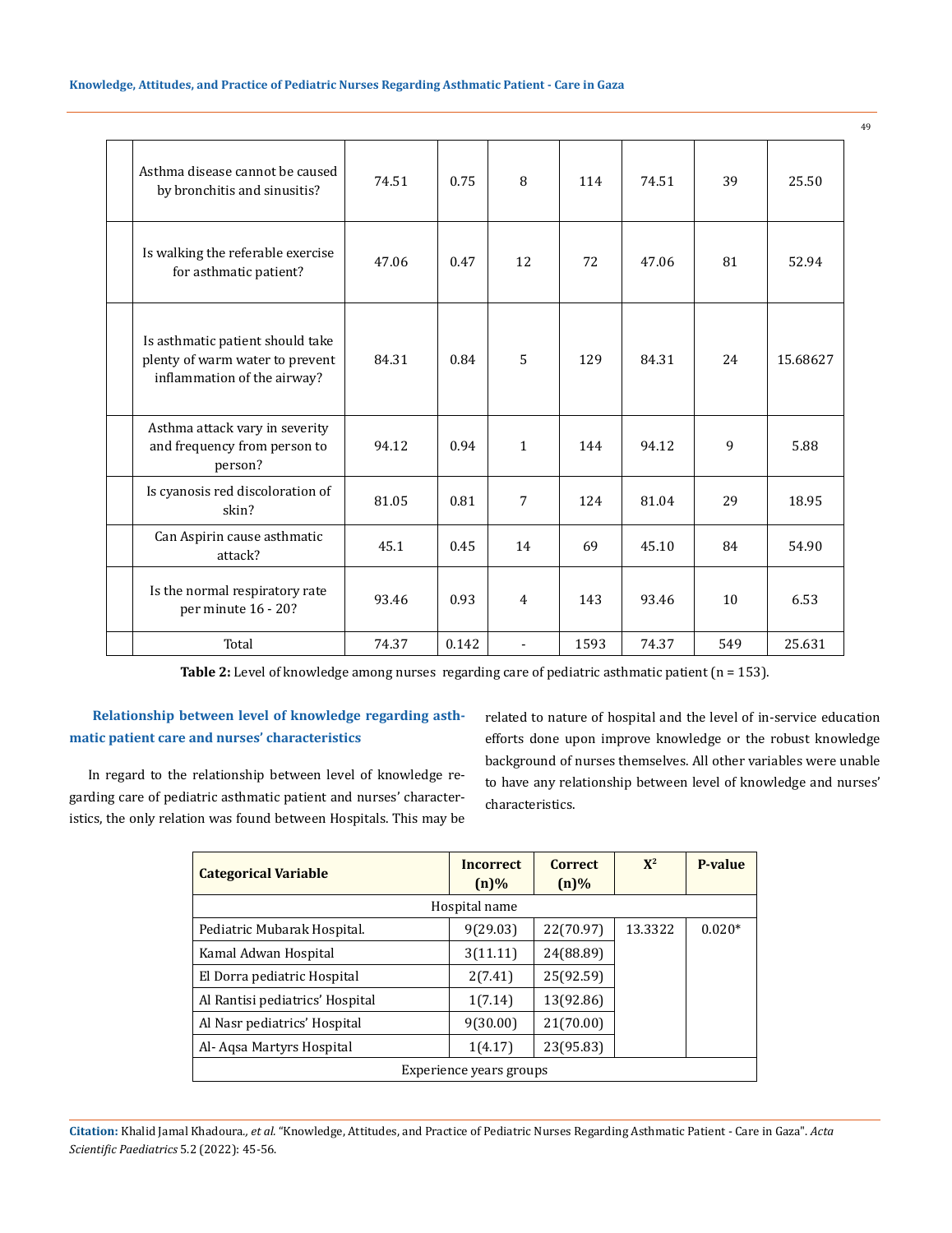| Asthma disease cannot be caused<br>by bronchitis and sinusitis?                                    | 74.51 | 0.75  | 8            | 114  | 74.51 | 39  | 25.50    |
|----------------------------------------------------------------------------------------------------|-------|-------|--------------|------|-------|-----|----------|
| Is walking the referable exercise<br>for asthmatic patient?                                        | 47.06 | 0.47  | 12           | 72   | 47.06 | 81  | 52.94    |
| Is asthmatic patient should take<br>plenty of warm water to prevent<br>inflammation of the airway? | 84.31 | 0.84  | 5            | 129  | 84.31 | 2.4 | 15.68627 |
| Asthma attack vary in severity<br>and frequency from person to<br>person?                          | 94.12 | 0.94  | $\mathbf{1}$ | 144  | 94.12 | 9   | 5.88     |
| Is cyanosis red discoloration of<br>skin?                                                          | 81.05 | 0.81  | 7            | 124  | 81.04 | 29  | 18.95    |
| Can Aspirin cause asthmatic<br>attack?                                                             | 45.1  | 0.45  | 14           | 69   | 45.10 | 84  | 54.90    |
| Is the normal respiratory rate<br>per minute 16 - 20?                                              | 93.46 | 0.93  | 4            | 143  | 93.46 | 10  | 6.53     |
| Total                                                                                              | 74.37 | 0.142 | ÷            | 1593 | 74.37 | 549 | 25.631   |

Table 2: Level of knowledge among nurses regarding care of pediatric asthmatic patient (n = 153).

## **Relationship between level of knowledge regarding asthmatic patient care and nurses' characteristics**

related to nature of hospital and the level of in-service education efforts done upon improve knowledge or the robust knowledge background of nurses themselves. All other variables were unable to have any relationship between level of knowledge and nurses' characteristics.

In regard to the relationship between level of knowledge regarding care of pediatric asthmatic patient and nurses' characteristics, the only relation was found between Hospitals. This may be

| <b>Categorical Variable</b>     | <b>Incorrect</b><br>$(n)\%$ | <b>Correct</b><br>$(n)\%$ | $X^2$   | <b>P-value</b> |
|---------------------------------|-----------------------------|---------------------------|---------|----------------|
|                                 | Hospital name               |                           |         |                |
| Pediatric Mubarak Hospital.     | 9(29.03)                    | 22(70.97)                 | 13.3322 | $0.020*$       |
| Kamal Adwan Hospital            | 3(11.11)                    | 24(88.89)                 |         |                |
| El Dorra pediatric Hospital     | 2(7.41)                     | 25(92.59)                 |         |                |
| Al Rantisi pediatrics' Hospital | 1(7.14)                     | 13(92.86)                 |         |                |
| Al Nasr pediatrics' Hospital    | 9(30.00)                    | 21(70.00)                 |         |                |
| Al- Agsa Martyrs Hospital       | 1(4.17)                     | 23(95.83)                 |         |                |
|                                 | Experience years groups     |                           |         |                |

**Citation:** Khalid Jamal Khadoura*., et al.* "Knowledge, Attitudes, and Practice of Pediatric Nurses Regarding Asthmatic Patient - Care in Gaza". *Acta Scientific Paediatrics* 5.2 (2022): 45-56.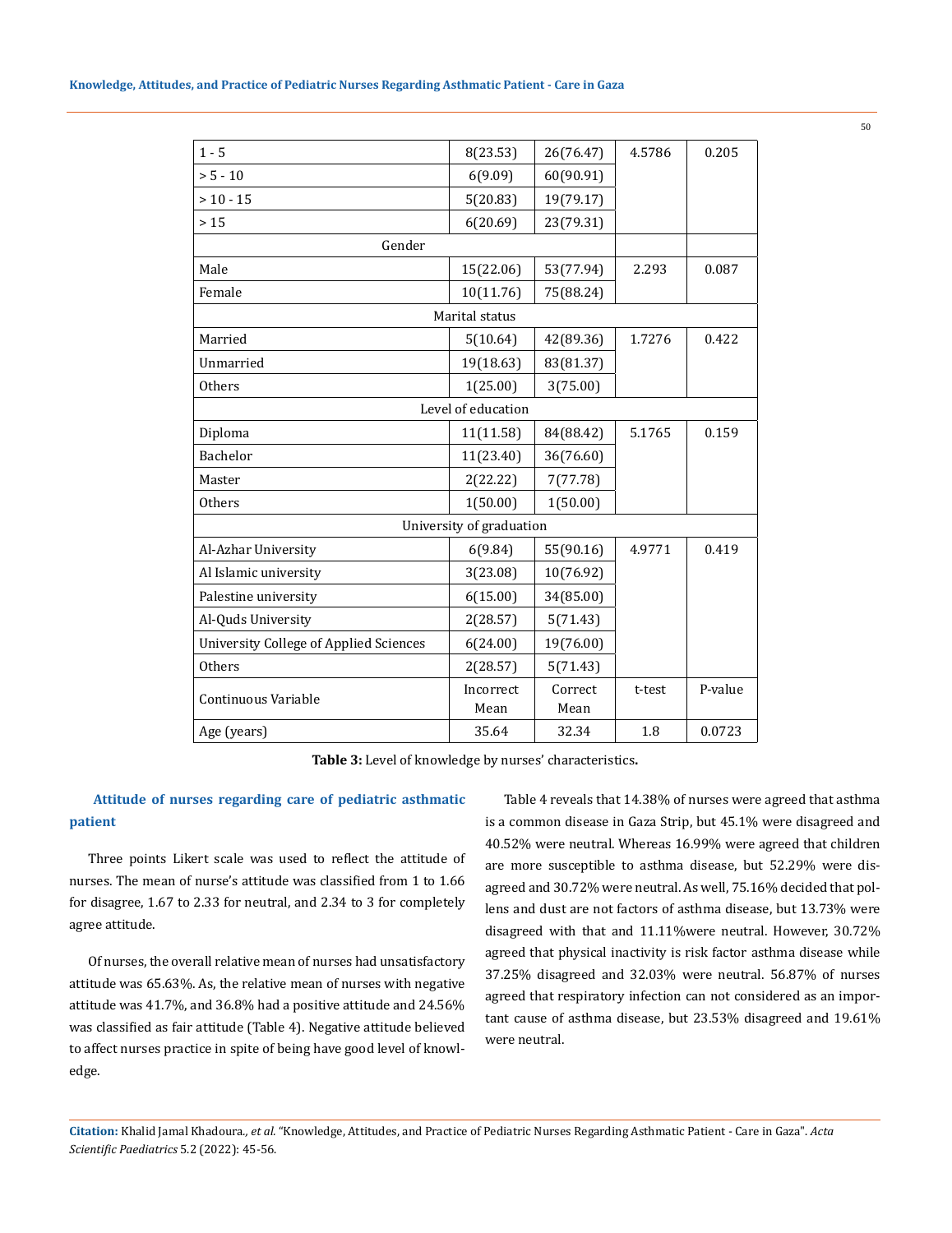| $1 - 5$                                | 8(23.53)                 | 26(76.47) | 4.5786 | 0.205   |
|----------------------------------------|--------------------------|-----------|--------|---------|
| $> 5 - 10$                             | 6(9.09)                  | 60(90.91) |        |         |
| $> 10 - 15$                            | 5(20.83)                 | 19(79.17) |        |         |
| >15                                    | 6(20.69)                 | 23(79.31) |        |         |
| Gender                                 |                          |           |        |         |
| Male                                   | 15(22.06)                | 53(77.94) | 2.293  | 0.087   |
| Female                                 | 10(11.76)                | 75(88.24) |        |         |
|                                        | Marital status           |           |        |         |
| Married                                | 5(10.64)                 | 42(89.36) | 1.7276 | 0.422   |
| Unmarried                              | 19(18.63)                | 83(81.37) |        |         |
| <b>Others</b>                          | 1(25.00)                 | 3(75.00)  |        |         |
|                                        | Level of education       |           |        |         |
| Diploma                                | 11(11.58)                | 84(88.42) | 5.1765 | 0.159   |
| Bachelor                               | 11(23.40)                | 36(76.60) |        |         |
| Master                                 | 2(22.22)                 | 7(77.78)  |        |         |
| <b>Others</b>                          | 1(50.00)                 | 1(50.00)  |        |         |
|                                        | University of graduation |           |        |         |
| Al-Azhar University                    | 6(9.84)                  | 55(90.16) | 4.9771 | 0.419   |
| Al Islamic university                  | 3(23.08)                 | 10(76.92) |        |         |
| Palestine university                   | 6(15.00)                 | 34(85.00) |        |         |
| Al-Quds University                     | 2(28.57)                 | 5(71.43)  |        |         |
| University College of Applied Sciences | 6(24.00)                 | 19(76.00) |        |         |
| Others                                 | 2(28.57)                 | 5(71.43)  |        |         |
| Continuous Variable                    | Incorrect                | Correct   | t-test | P-value |
|                                        | Mean                     | Mean      |        |         |
| Age (years)                            | 35.64                    | 32.34     | 1.8    | 0.0723  |

**Table 3:** Level of knowledge by nurses' characteristics**.**

### **Attitude of nurses regarding care of pediatric asthmatic patient**

Three points Likert scale was used to reflect the attitude of nurses. The mean of nurse's attitude was classified from 1 to 1.66 for disagree, 1.67 to 2.33 for neutral, and 2.34 to 3 for completely agree attitude.

Of nurses, the overall relative mean of nurses had unsatisfactory attitude was 65.63%. As, the relative mean of nurses with negative attitude was 41.7%, and 36.8% had a positive attitude and 24.56% was classified as fair attitude (Table 4). Negative attitude believed to affect nurses practice in spite of being have good level of knowledge.

Table 4 reveals that 14.38% of nurses were agreed that asthma is a common disease in Gaza Strip, but 45.1% were disagreed and 40.52% were neutral. Whereas 16.99% were agreed that children are more susceptible to asthma disease, but 52.29% were disagreed and 30.72% were neutral. As well, 75.16% decided that pollens and dust are not factors of asthma disease, but 13.73% were disagreed with that and 11.11%were neutral. However, 30.72% agreed that physical inactivity is risk factor asthma disease while 37.25% disagreed and 32.03% were neutral. 56.87% of nurses agreed that respiratory infection can not considered as an important cause of asthma disease, but 23.53% disagreed and 19.61% were neutral.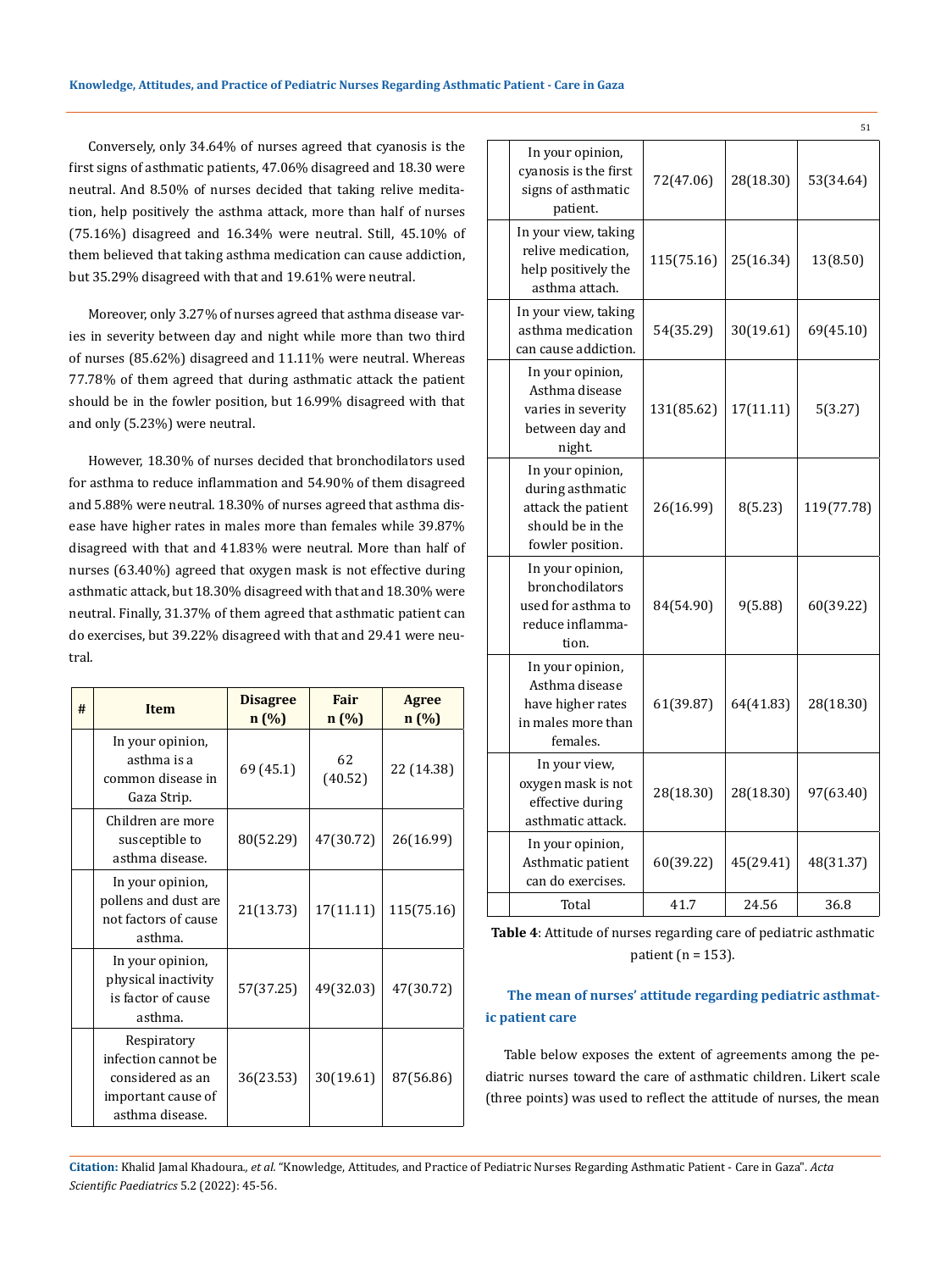Conversely, only 34.64% of nurses agreed that cyanosis is the first signs of asthmatic patients, 47.06% disagreed and 18.30 were neutral. And 8.50% of nurses decided that taking relive meditation, help positively the asthma attack, more than half of nurses (75.16%) disagreed and 16.34% were neutral. Still, 45.10% of them believed that taking asthma medication can cause addiction, but 35.29% disagreed with that and 19.61% were neutral.

Moreover, only 3.27% of nurses agreed that asthma disease varies in severity between day and night while more than two third of nurses (85.62%) disagreed and 11.11% were neutral. Whereas 77.78% of them agreed that during asthmatic attack the patient should be in the fowler position, but 16.99% disagreed with that and only (5.23%) were neutral.

However, 18.30% of nurses decided that bronchodilators used for asthma to reduce inflammation and 54.90% of them disagreed and 5.88% were neutral. 18.30% of nurses agreed that asthma disease have higher rates in males more than females while 39.87% disagreed with that and 41.83% were neutral. More than half of nurses (63.40%) agreed that oxygen mask is not effective during asthmatic attack, but 18.30% disagreed with that and 18.30% were neutral. Finally, 31.37% of them agreed that asthmatic patient can do exercises, but 39.22% disagreed with that and 29.41 were neutral.

| # | Item                                                                                            | <b>Disagree</b><br>n(%) | Fair<br>n(%)  | <b>Agree</b><br>n(%) |
|---|-------------------------------------------------------------------------------------------------|-------------------------|---------------|----------------------|
|   | In your opinion,<br>asthma is a<br>common disease in<br>Gaza Strip.                             | 69 (45.1)               | 62<br>(40.52) | 22 (14.38)           |
|   | Children are more<br>susceptible to<br>asthma disease.                                          | 80(52.29)               | 47(30.72)     | 26(16.99)            |
|   | In your opinion,<br>pollens and dust are<br>not factors of cause<br>asthma.                     | 21(13.73)               | 17(11.11)     | 115(75.16)           |
|   | In your opinion,<br>physical inactivity<br>is factor of cause<br>asthma.                        | 57(37.25)               | 49(32.03)     | 47(30.72)            |
|   | Respiratory<br>infection cannot be<br>considered as an<br>important cause of<br>asthma disease. | 36(23.53)               | 30(19.61)     | 87(56.86)            |

|                                                                                                    |            |           | 51         |
|----------------------------------------------------------------------------------------------------|------------|-----------|------------|
| In your opinion,<br>cyanosis is the first<br>signs of asthmatic<br>patient.                        | 72(47.06)  | 28(18.30) | 53(34.64)  |
| In your view, taking<br>relive medication,<br>help positively the<br>asthma attach.                | 115(75.16) | 25(16.34) | 13(8.50)   |
| In your view, taking<br>asthma medication<br>can cause addiction.                                  | 54(35.29)  | 30(19.61) | 69(45.10)  |
| In your opinion,<br>Asthma disease<br>varies in severity<br>between day and<br>night.              | 131(85.62) | 17(11.11) | 5(3.27)    |
| In your opinion,<br>during asthmatic<br>attack the patient<br>should be in the<br>fowler position. | 26(16.99)  | 8(5.23)   | 119(77.78) |
| In your opinion,<br>bronchodilators<br>used for asthma to<br>reduce inflamma-<br>tion.             | 84(54.90)  | 9(5.88)   | 60(39.22)  |
| In your opinion,<br>Asthma disease<br>have higher rates<br>in males more than<br>females.          | 61(39.87)  | 64(41.83) | 28(18.30)  |
| In your view,<br>oxygen mask is not<br>effective during<br>asthmatic attack.                       | 28(18.30)  | 28(18.30) | 97(63.40)  |
| In your opinion,<br>Asthmatic patient<br>can do exercises.                                         | 60(39.22)  | 45(29.41) | 48(31.37)  |
| Total                                                                                              | 41.7       | 24.56     | 36.8       |

**Table 4**: Attitude of nurses regarding care of pediatric asthmatic patient ( $n = 153$ ).

## **The mean of nurses' attitude regarding pediatric asthmatic patient care**

Table below exposes the extent of agreements among the pediatric nurses toward the care of asthmatic children. Likert scale (three points) was used to reflect the attitude of nurses, the mean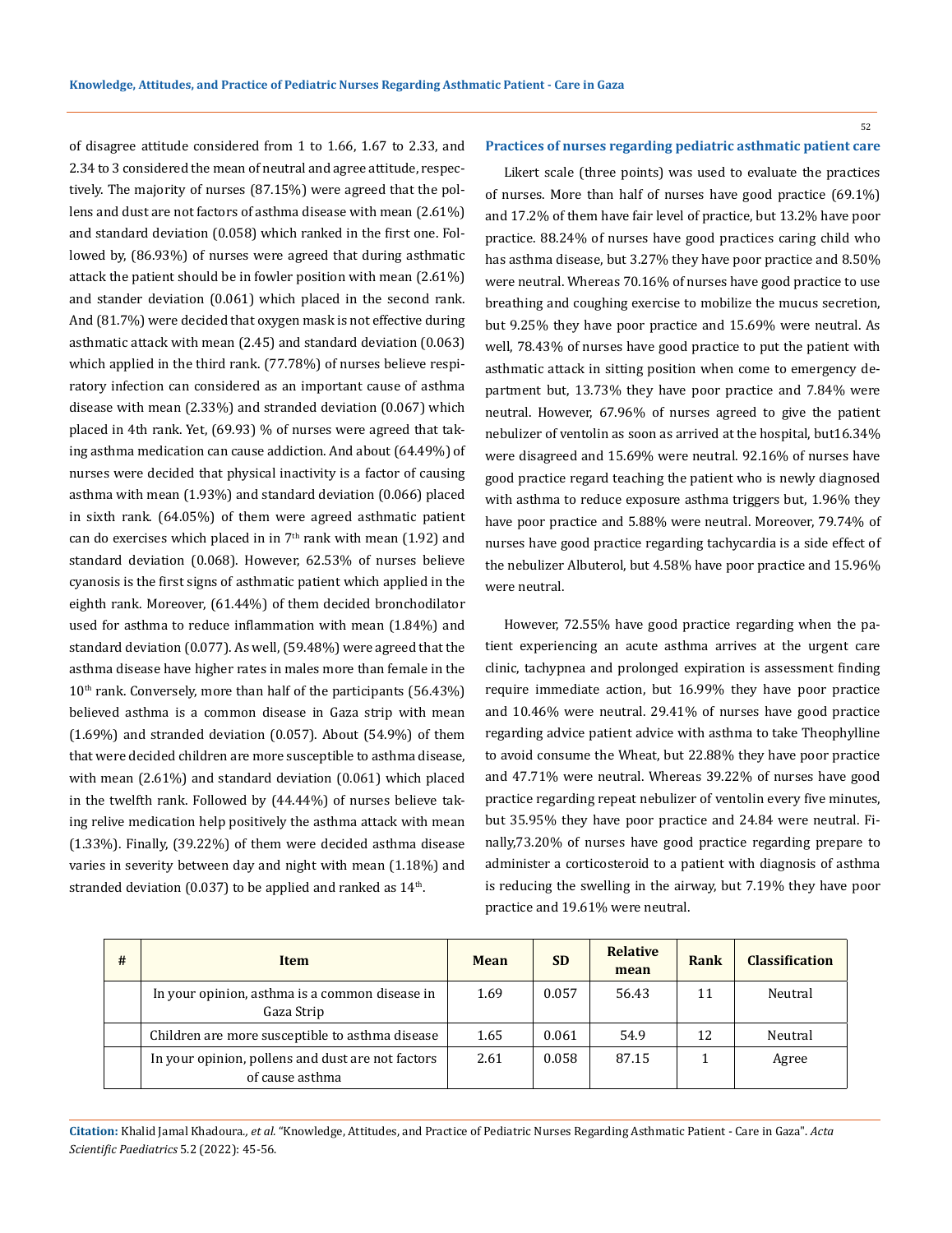52

#### **Practices of nurses regarding pediatric asthmatic patient care**

2.34 to 3 considered the mean of neutral and agree attitude, respectively. The majority of nurses (87.15%) were agreed that the pollens and dust are not factors of asthma disease with mean (2.61%) and standard deviation (0.058) which ranked in the first one. Followed by, (86.93%) of nurses were agreed that during asthmatic attack the patient should be in fowler position with mean (2.61%) and stander deviation (0.061) which placed in the second rank. And (81.7%) were decided that oxygen mask is not effective during asthmatic attack with mean (2.45) and standard deviation (0.063) which applied in the third rank. (77.78%) of nurses believe respiratory infection can considered as an important cause of asthma disease with mean (2.33%) and stranded deviation (0.067) which placed in 4th rank. Yet, (69.93) % of nurses were agreed that taking asthma medication can cause addiction. And about (64.49%) of nurses were decided that physical inactivity is a factor of causing asthma with mean (1.93%) and standard deviation (0.066) placed in sixth rank. (64.05%) of them were agreed asthmatic patient can do exercises which placed in in  $7<sup>th</sup>$  rank with mean (1.92) and standard deviation (0.068). However, 62.53% of nurses believe cyanosis is the first signs of asthmatic patient which applied in the eighth rank. Moreover, (61.44%) of them decided bronchodilator used for asthma to reduce inflammation with mean (1.84%) and standard deviation (0.077). As well, (59.48%) were agreed that the asthma disease have higher rates in males more than female in the  $10<sup>th</sup>$  rank. Conversely, more than half of the participants (56.43%) believed asthma is a common disease in Gaza strip with mean (1.69%) and stranded deviation (0.057). About (54.9%) of them that were decided children are more susceptible to asthma disease, with mean (2.61%) and standard deviation (0.061) which placed in the twelfth rank. Followed by (44.44%) of nurses believe taking relive medication help positively the asthma attack with mean (1.33%). Finally, (39.22%) of them were decided asthma disease varies in severity between day and night with mean (1.18%) and stranded deviation  $(0.037)$  to be applied and ranked as  $14<sup>th</sup>$ .

of disagree attitude considered from 1 to 1.66, 1.67 to 2.33, and

Likert scale (three points) was used to evaluate the practices of nurses. More than half of nurses have good practice (69.1%) and 17.2% of them have fair level of practice, but 13.2% have poor practice. 88.24% of nurses have good practices caring child who has asthma disease, but 3.27% they have poor practice and 8.50% were neutral. Whereas 70.16% of nurses have good practice to use breathing and coughing exercise to mobilize the mucus secretion, but 9.25% they have poor practice and 15.69% were neutral. As well, 78.43% of nurses have good practice to put the patient with asthmatic attack in sitting position when come to emergency department but, 13.73% they have poor practice and 7.84% were neutral. However, 67.96% of nurses agreed to give the patient nebulizer of ventolin as soon as arrived at the hospital, but16.34% were disagreed and 15.69% were neutral. 92.16% of nurses have good practice regard teaching the patient who is newly diagnosed with asthma to reduce exposure asthma triggers but, 1.96% they have poor practice and 5.88% were neutral. Moreover, 79.74% of nurses have good practice regarding tachycardia is a side effect of the nebulizer Albuterol, but 4.58% have poor practice and 15.96% were neutral.

However, 72.55% have good practice regarding when the patient experiencing an acute asthma arrives at the urgent care clinic, tachypnea and prolonged expiration is assessment finding require immediate action, but 16.99% they have poor practice and 10.46% were neutral. 29.41% of nurses have good practice regarding advice patient advice with asthma to take Theophylline to avoid consume the Wheat, but 22.88% they have poor practice and 47.71% were neutral. Whereas 39.22% of nurses have good practice regarding repeat nebulizer of ventolin every five minutes, but 35.95% they have poor practice and 24.84 were neutral. Finally,73.20% of nurses have good practice regarding prepare to administer a corticosteroid to a patient with diagnosis of asthma is reducing the swelling in the airway, but 7.19% they have poor practice and 19.61% were neutral.

| # | Item                                                                 | Mean | <b>SD</b> | <b>Relative</b><br>mean | Rank | <b>Classification</b> |
|---|----------------------------------------------------------------------|------|-----------|-------------------------|------|-----------------------|
|   | In your opinion, asthma is a common disease in<br>Gaza Strip         |      | 0.057     | 56.43                   | 11   | Neutral               |
|   | Children are more susceptible to asthma disease                      |      | 0.061     | 54.9                    | 12   | Neutral               |
|   | In your opinion, pollens and dust are not factors<br>of cause asthma |      | 0.058     | 87.15                   |      | Agree                 |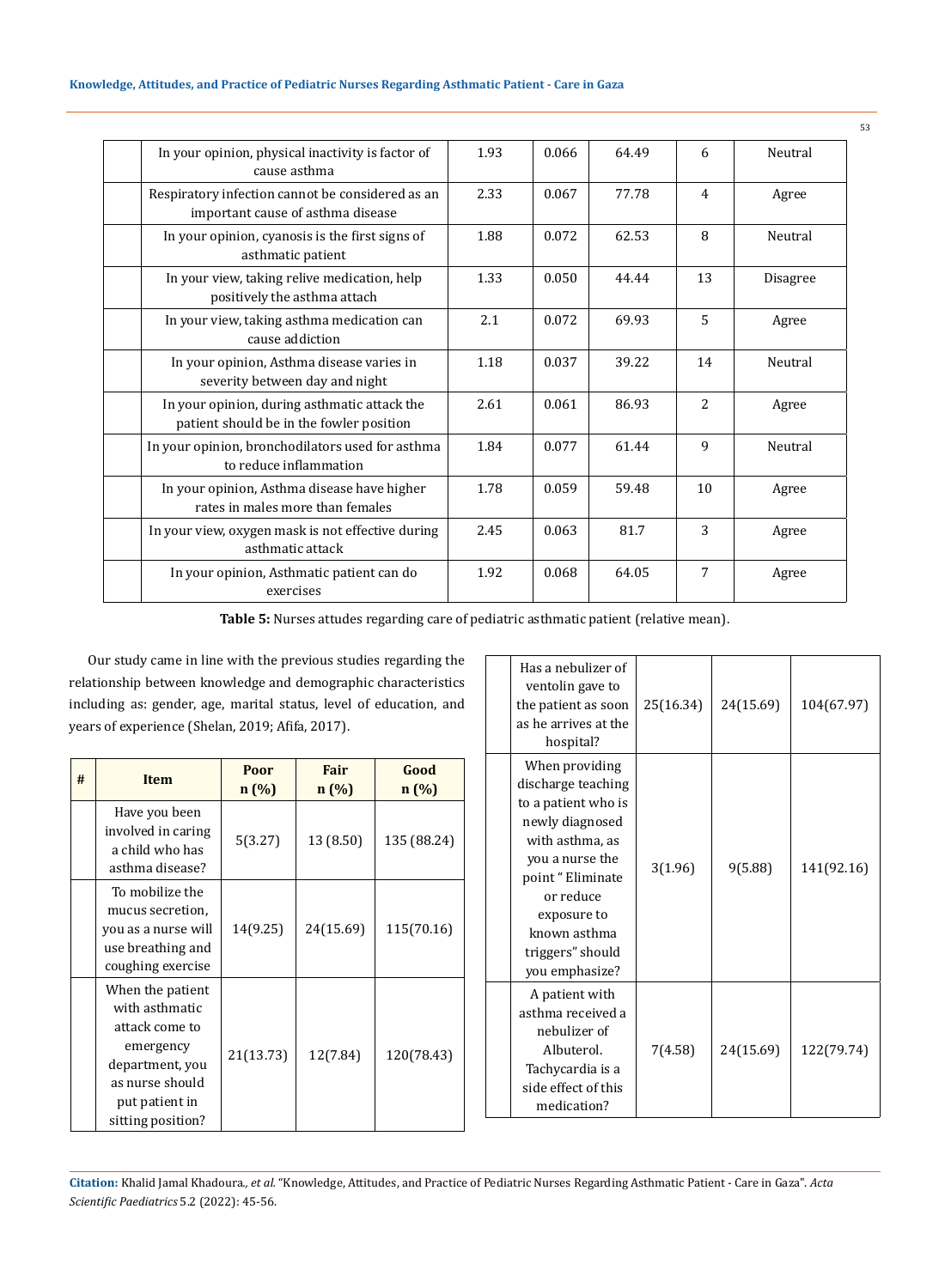| In your opinion, physical inactivity is factor of<br>cause asthma                        | 1.93 | 0.066 | 64.49 | 6              | Neutral  |
|------------------------------------------------------------------------------------------|------|-------|-------|----------------|----------|
| Respiratory infection cannot be considered as an<br>important cause of asthma disease    | 2.33 | 0.067 | 77.78 | 4              | Agree    |
| In your opinion, cyanosis is the first signs of<br>asthmatic patient                     | 1.88 | 0.072 | 62.53 | 8              | Neutral  |
| In your view, taking relive medication, help<br>positively the asthma attach             | 1.33 | 0.050 | 44.44 | 13             | Disagree |
| In your view, taking asthma medication can<br>cause addiction                            | 2.1  | 0.072 | 69.93 | $\overline{5}$ | Agree    |
| In your opinion, Asthma disease varies in<br>severity between day and night              | 1.18 | 0.037 | 39.22 | 14             | Neutral  |
| In your opinion, during asthmatic attack the<br>patient should be in the fowler position | 2.61 | 0.061 | 86.93 | $\overline{2}$ | Agree    |
| In your opinion, bronchodilators used for asthma<br>to reduce inflammation               | 1.84 | 0.077 | 61.44 | 9              | Neutral  |
| In your opinion, Asthma disease have higher<br>rates in males more than females          | 1.78 | 0.059 | 59.48 | 10             | Agree    |
| In your view, oxygen mask is not effective during<br>asthmatic attack                    | 2.45 | 0.063 | 81.7  | 3              | Agree    |
| In your opinion, Asthmatic patient can do<br>exercises                                   | 1.92 | 0.068 | 64.05 | 7              | Agree    |

**Table 5:** Nurses attudes regarding care of pediatric asthmatic patient (relative mean).

Our study came in line with the previous studies regarding the relationship between knowledge and demographic characteristics including as: gender, age, marital status, level of education, and years of experience (Shelan, 2019; Afifa, 2017).

| # | <b>Item</b>                                                                                                                                    | Poor<br>n(%) | Fair<br>n(%) | Good<br>$n(\%)$ |
|---|------------------------------------------------------------------------------------------------------------------------------------------------|--------------|--------------|-----------------|
|   | Have you been<br>involved in caring<br>a child who has<br>asthma disease?                                                                      | 5(3.27)      | 13 (8.50)    | 135 (88.24)     |
|   | To mobilize the<br>mucus secretion,<br>you as a nurse will<br>use breathing and<br>coughing exercise                                           | 14(9.25)     | 24(15.69)    | 115(70.16)      |
|   | When the patient<br>with asthmatic<br>attack come to<br>emergency<br>department, you<br>as nurse should<br>put patient in<br>sitting position? | 21(13.73)    | 12(7.84)     | 120(78.43)      |

| Has a nebulizer of<br>ventolin gave to<br>the patient as soon<br>as he arrives at the<br>hospital?                                                                                                                         | 25(16.34) | 24(15.69) | 104(67.97) |
|----------------------------------------------------------------------------------------------------------------------------------------------------------------------------------------------------------------------------|-----------|-----------|------------|
| When providing<br>discharge teaching<br>to a patient who is<br>newly diagnosed<br>with asthma, as<br>you a nurse the<br>point "Eliminate<br>or reduce<br>exposure to<br>known asthma<br>triggers" should<br>you emphasize? | 3(1.96)   | 9(5.88)   | 141(92.16) |
| A patient with<br>asthma received a<br>nebulizer of<br>Albuterol.<br>Tachycardia is a<br>side effect of this<br>medication?                                                                                                | 7(4.58)   | 24(15.69) | 122(79.74) |

**Citation:** Khalid Jamal Khadoura*., et al.* "Knowledge, Attitudes, and Practice of Pediatric Nurses Regarding Asthmatic Patient - Care in Gaza". *Acta Scientific Paediatrics* 5.2 (2022): 45-56.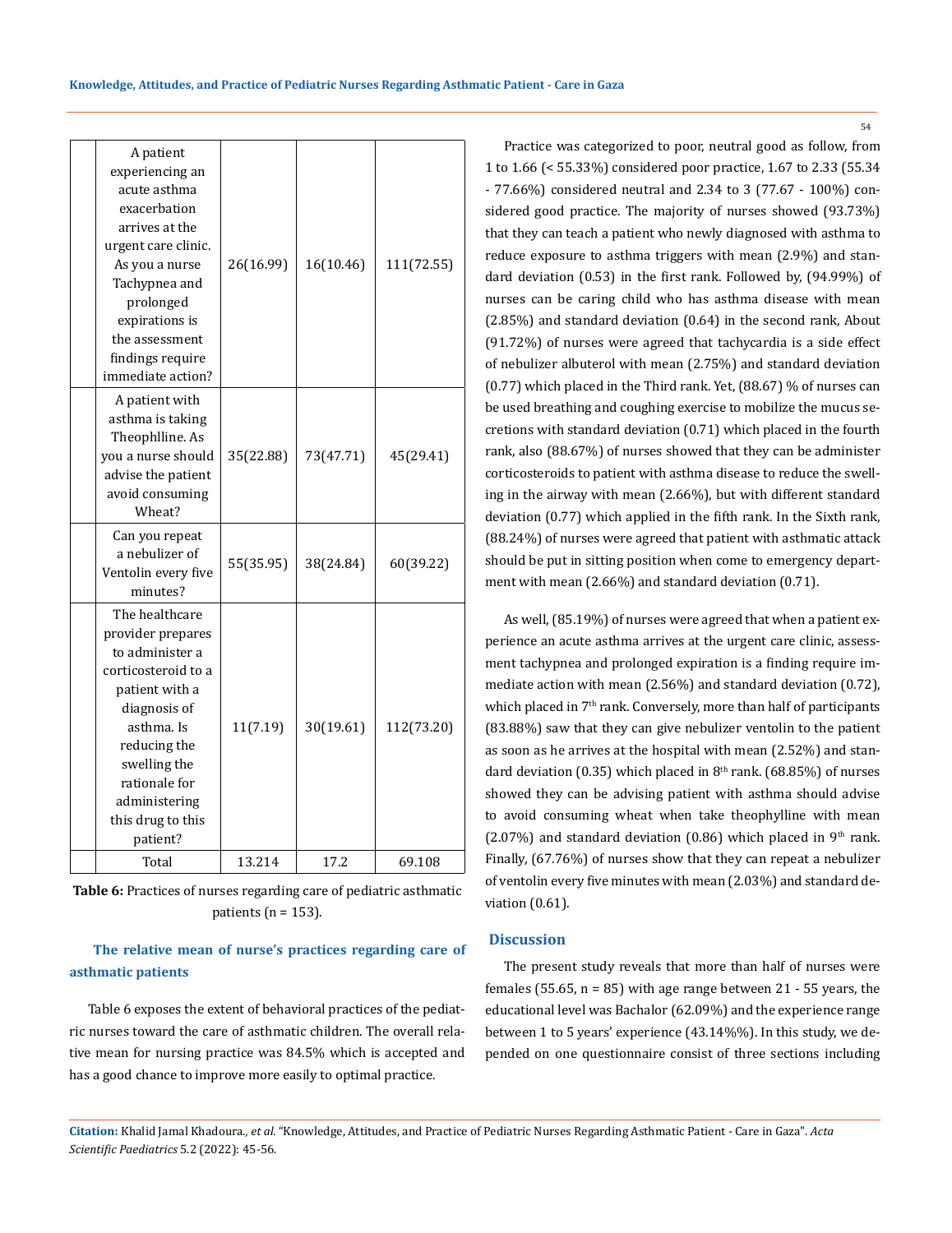| A patient<br>experiencing an<br>acute asthma<br>exacerbation<br>arrives at the<br>urgent care clinic.<br>As you a nurse<br>Tachypnea and<br>prolonged<br>expirations is<br>the assessment<br>findings require<br>immediate action? | 26(16.99) | 16(10.46) | 111(72.55) |
|------------------------------------------------------------------------------------------------------------------------------------------------------------------------------------------------------------------------------------|-----------|-----------|------------|
| A patient with<br>asthma is taking<br>Theophlline. As<br>you a nurse should<br>advise the patient<br>avoid consuming<br>Wheat?                                                                                                     | 35(22.88) | 73(47.71) | 45(29.41)  |
| Can you repeat<br>a nebulizer of<br>Ventolin every five<br>minutes?                                                                                                                                                                | 55(35.95) | 38(24.84) | 60(39.22)  |
| The healthcare<br>provider prepares<br>to administer a<br>corticosteroid to a<br>patient with a<br>diagnosis of<br>asthma. Is<br>reducing the<br>swelling the<br>rationale for<br>administering<br>this drug to this<br>patient?   | 11(7.19)  | 30(19.61) | 112(73.20) |
| Total                                                                                                                                                                                                                              | 13.214    | 17.2      | 69.108     |

**Table 6:** Practices of nurses regarding care of pediatric asthmatic patients ( $n = 153$ ).

## **The relative mean of nurse's practices regarding care of asthmatic patients**

Table 6 exposes the extent of behavioral practices of the pediatric nurses toward the care of asthmatic children. The overall relative mean for nursing practice was 84.5% which is accepted and has a good chance to improve more easily to optimal practice.

Practice was categorized to poor, neutral good as follow, from 1 to 1.66 (< 55.33%) considered poor practice, 1.67 to 2.33 (55.34 - 77.66%) considered neutral and 2.34 to 3 (77.67 - 100%) considered good practice. The majority of nurses showed (93.73%) that they can teach a patient who newly diagnosed with asthma to reduce exposure to asthma triggers with mean (2.9%) and standard deviation (0.53) in the first rank. Followed by, (94.99%) of nurses can be caring child who has asthma disease with mean (2.85%) and standard deviation (0.64) in the second rank, About (91.72%) of nurses were agreed that tachycardia is a side effect of nebulizer albuterol with mean (2.75%) and standard deviation (0.77) which placed in the Third rank. Yet, (88.67) % of nurses can be used breathing and coughing exercise to mobilize the mucus secretions with standard deviation (0.71) which placed in the fourth rank, also (88.67%) of nurses showed that they can be administer corticosteroids to patient with asthma disease to reduce the swelling in the airway with mean (2.66%), but with different standard deviation (0.77) which applied in the fifth rank. In the Sixth rank, (88.24%) of nurses were agreed that patient with asthmatic attack should be put in sitting position when come to emergency department with mean (2.66%) and standard deviation (0.71).

As well, (85.19%) of nurses were agreed that when a patient experience an acute asthma arrives at the urgent care clinic, assessment tachypnea and prolonged expiration is a finding require immediate action with mean (2.56%) and standard deviation (0.72), which placed in 7<sup>th</sup> rank. Conversely, more than half of participants (83.88%) saw that they can give nebulizer ventolin to the patient as soon as he arrives at the hospital with mean (2.52%) and standard deviation (0.35) which placed in  $8<sup>th</sup>$  rank. (68.85%) of nurses showed they can be advising patient with asthma should advise to avoid consuming wheat when take theophylline with mean (2.07%) and standard deviation (0.86) which placed in  $9<sup>th</sup>$  rank. Finally, (67.76%) of nurses show that they can repeat a nebulizer of ventolin every five minutes with mean (2.03%) and standard deviation (0.61).

### **Discussion**

The present study reveals that more than half of nurses were females (55.65,  $n = 85$ ) with age range between 21 - 55 years, the educational level was Bachalor (62.09%) and the experience range between 1 to 5 years' experience (43.14%%). In this study, we depended on one questionnaire consist of three sections including

**Citation:** Khalid Jamal Khadoura*., et al.* "Knowledge, Attitudes, and Practice of Pediatric Nurses Regarding Asthmatic Patient - Care in Gaza". *Acta Scientific Paediatrics* 5.2 (2022): 45-56.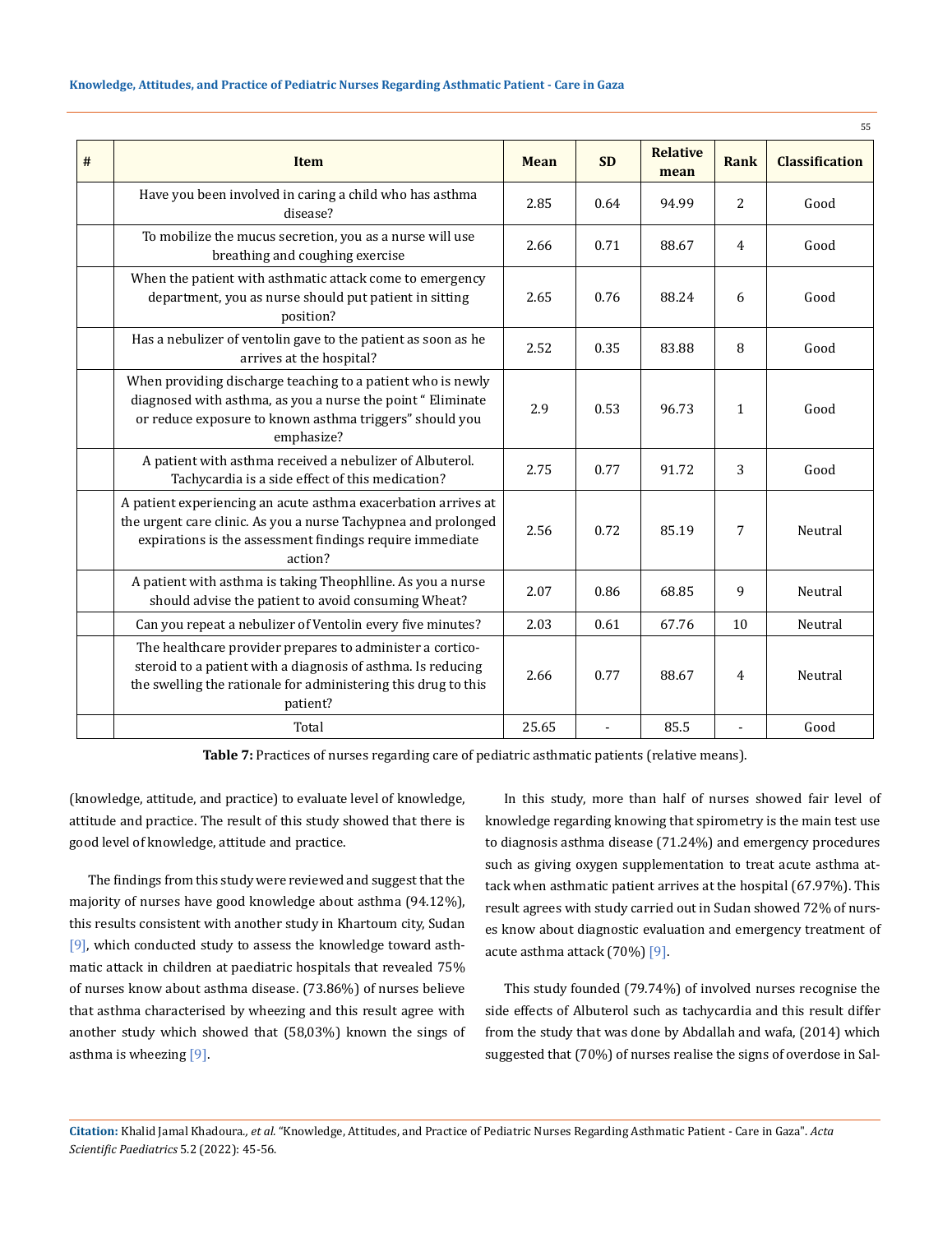|   |                                                                                                                                                                                                         |             |           |                         |              | 55                    |
|---|---------------------------------------------------------------------------------------------------------------------------------------------------------------------------------------------------------|-------------|-----------|-------------------------|--------------|-----------------------|
| # | <b>Item</b>                                                                                                                                                                                             | <b>Mean</b> | <b>SD</b> | <b>Relative</b><br>mean | Rank         | <b>Classification</b> |
|   | Have you been involved in caring a child who has asthma<br>disease?                                                                                                                                     | 2.85        | 0.64      | 94.99                   | 2            | Good                  |
|   | To mobilize the mucus secretion, you as a nurse will use<br>breathing and coughing exercise                                                                                                             | 2.66        | 0.71      | 88.67                   | 4            | Good                  |
|   | When the patient with asthmatic attack come to emergency<br>department, you as nurse should put patient in sitting<br>position?                                                                         | 2.65        | 0.76      | 88.24                   | 6            | Good                  |
|   | Has a nebulizer of ventolin gave to the patient as soon as he<br>arrives at the hospital?                                                                                                               | 2.52        | 0.35      | 83.88                   | 8            | Good                  |
|   | When providing discharge teaching to a patient who is newly<br>diagnosed with asthma, as you a nurse the point "Eliminate<br>or reduce exposure to known asthma triggers" should you<br>emphasize?      | 2.9         | 0.53      | 96.73                   | $\mathbf{1}$ | Good                  |
|   | A patient with asthma received a nebulizer of Albuterol.<br>Tachycardia is a side effect of this medication?                                                                                            | 2.75        | 0.77      | 91.72                   | 3            | Good                  |
|   | A patient experiencing an acute asthma exacerbation arrives at<br>the urgent care clinic. As you a nurse Tachypnea and prolonged<br>expirations is the assessment findings require immediate<br>action? | 2.56        | 0.72      | 85.19                   | 7            | Neutral               |
|   | A patient with asthma is taking Theophlline. As you a nurse<br>should advise the patient to avoid consuming Wheat?                                                                                      | 2.07        | 0.86      | 68.85                   | 9            | Neutral               |
|   | Can you repeat a nebulizer of Ventolin every five minutes?                                                                                                                                              | 2.03        | 0.61      | 67.76                   | 10           | Neutral               |
|   | The healthcare provider prepares to administer a cortico-<br>steroid to a patient with a diagnosis of asthma. Is reducing<br>the swelling the rationale for administering this drug to this<br>patient? | 2.66        | 0.77      | 88.67                   | 4            | Neutral               |
|   | Total                                                                                                                                                                                                   | 25.65       |           | 85.5                    |              | Good                  |

**Table 7:** Practices of nurses regarding care of pediatric asthmatic patients (relative means).

(knowledge, attitude, and practice) to evaluate level of knowledge, attitude and practice. The result of this study showed that there is good level of knowledge, attitude and practice.

The findings from this study were reviewed and suggest that the majority of nurses have good knowledge about asthma (94.12%), this results consistent with another study in Khartoum city, Sudan [9], which conducted study to assess the knowledge toward asthmatic attack in children at paediatric hospitals that revealed 75% of nurses know about asthma disease. (73.86%) of nurses believe that asthma characterised by wheezing and this result agree with another study which showed that (58,03%) known the sings of asthma is wheezing [9].

In this study, more than half of nurses showed fair level of knowledge regarding knowing that spirometry is the main test use to diagnosis asthma disease (71.24%) and emergency procedures such as giving oxygen supplementation to treat acute asthma attack when asthmatic patient arrives at the hospital (67.97%). This result agrees with study carried out in Sudan showed 72% of nurses know about diagnostic evaluation and emergency treatment of acute asthma attack (70%) [9].

This study founded (79.74%) of involved nurses recognise the side effects of Albuterol such as tachycardia and this result differ from the study that was done by Abdallah and wafa, (2014) which suggested that (70%) of nurses realise the signs of overdose in Sal-